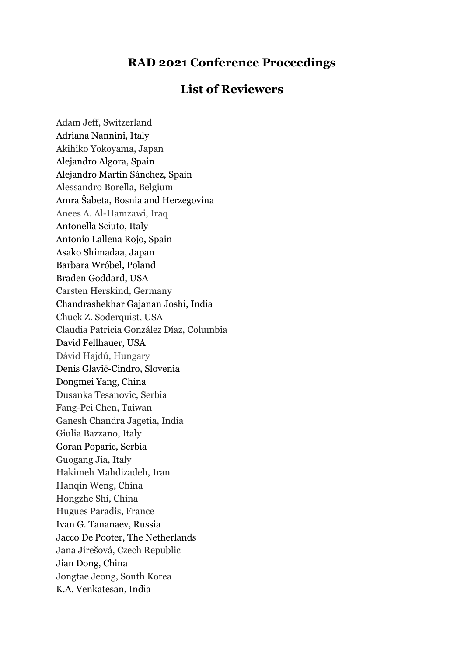## **RAD 2021 Conference Proceedings**

## **List of Reviewers**

Adam Jeff, Switzerland Adriana Nannini, Italy Akihiko Yokoyama, Japan Alejandro Algora, Spain Alejandro Martín Sánchez, Spain Alessandro Borella, Belgium Amra Šabeta, Bosnia and Herzegovina Anees A. Al-Hamzawi, Iraq Antonella Sciuto, Italy Antonio Lallena Rojo, Spain Asako Shimadaa, Japan Barbara Wróbel, Poland Braden Goddard, USA Carsten Herskind, Germany Chandrashekhar Gajanan Joshi, India Chuck Z. Soderquist, USA Claudia Patricia González Díaz, Columbia David Fellhauer, USA Dávid Hajdú, Hungary Denis Glavič-Cindro, Slovenia Dongmei Yang, China Dusanka Tesanovic, Serbia Fang-Pei Chen, Taiwan Ganesh Chandra Jagetia, India Giulia Bazzano, Italy Goran Poparic, Serbia Guogang Jia, Italy Hakimeh Mahdizadeh, Iran Hanqin Weng, China Hongzhe Shi, China Hugues Paradis, France Ivan G. Tananaev, Russia Jacco De Pooter, The Netherlands Jana Jirešová, Czech Republic Jian Dong, China Jongtae Jeong, South Korea K.A. Venkatesan, India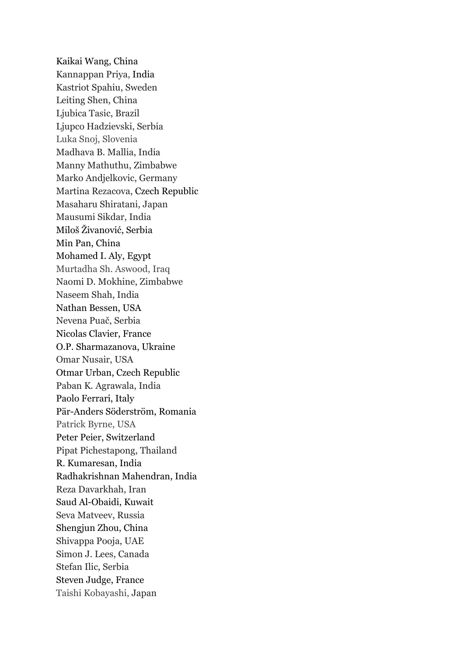Kaikai Wang, China Kannappan Priya, India Kastriot Spahiu, Sweden Leiting Shen, China Ljubica Tasic, Brazil Ljupco Hadzievski, Serbia Luka Snoj, Slovenia Madhava B. Mallia, India Manny Mathuthu, Zimbabwe Marko Andjelkovic, Germany Martina Rezacova, Czech Republic Masaharu Shiratani, Japan Mausumi Sikdar, India Miloš Živanović, Serbia Min Pan, China Mohamed I. Aly, Egypt Murtadha Sh. Aswood, Iraq Naomi D. Mokhine, Zimbabwe Naseem Shah, India Nathan Bessen, USA Nevena Puač, Serbia Nicolas Clavier, France O.P. Sharmazanova, Ukraine Omar Nusair, USA Otmar Urban, Czech Republic Paban K. Agrawala, India Paolo Ferrari, Italy Pär-Anders Söderström, Romania Patrick Byrne, USA Peter Peier, Switzerland Pipat Pichestapong, Thailand R. Kumaresan, India Radhakrishnan Mahendran, India Reza Davarkhah, Iran Saud Al-Obaidi, Kuwait Seva Matveev, Russia Shengjun Zhou, China Shivappa Pooja, UAE Simon J. Lees, Canada Stefan Ilic, Serbia Steven Judge, France Taishi Kobayashi, Japan